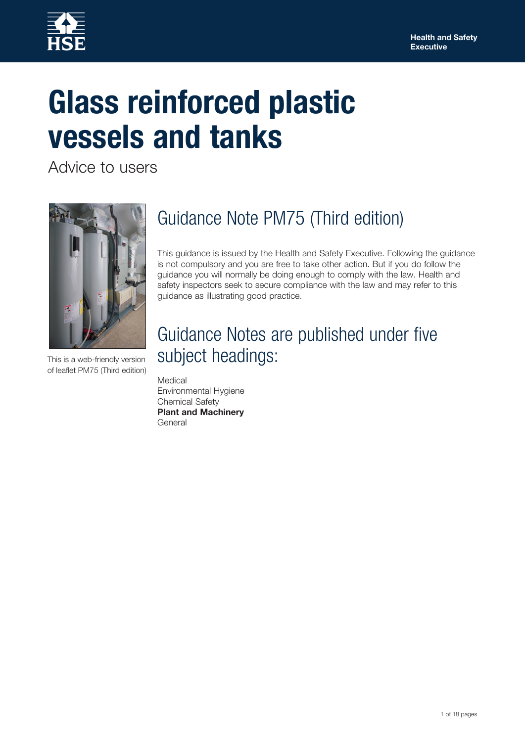

# **Glass reinforced plastic vessels and tanks**

Advice to users



This is a web-friendly version of leaflet PM75 (Third edition)

# Guidance Note PM75 (Third edition)

This guidance is issued by the Health and Safety Executive. Following the guidance is not compulsory and you are free to take other action. But if you do follow the guidance you will normally be doing enough to comply with the law. Health and safety inspectors seek to secure compliance with the law and may refer to this guidance as illustrating good practice.

# Guidance Notes are published under five subject headings:

**Medical** Environmental Hygiene Chemical Safety **Plant and Machinery General**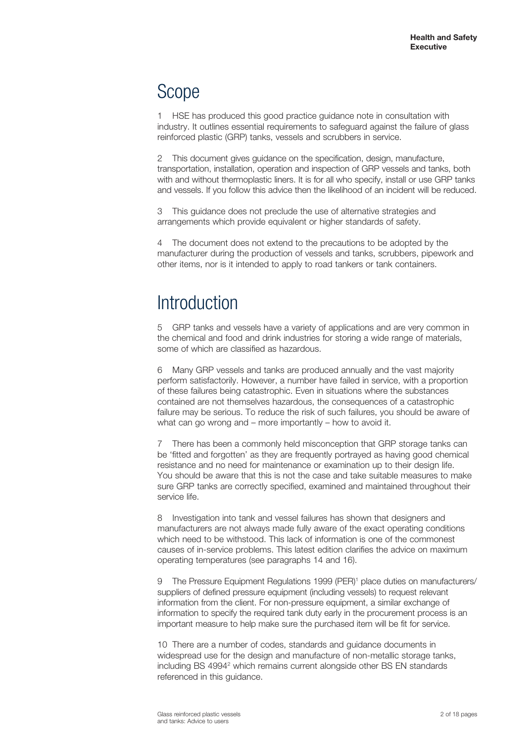# Scope

1 HSE has produced this good practice guidance note in consultation with industry. It outlines essential requirements to safeguard against the failure of glass reinforced plastic (GRP) tanks, vessels and scrubbers in service.

2 This document gives quidance on the specification, design, manufacture, transportation, installation, operation and inspection of GRP vessels and tanks, both with and without thermoplastic liners. It is for all who specify, install or use GRP tanks and vessels. If you follow this advice then the likelihood of an incident will be reduced.

3 This guidance does not preclude the use of alternative strategies and arrangements which provide equivalent or higher standards of safety.

4 The document does not extend to the precautions to be adopted by the manufacturer during the production of vessels and tanks, scrubbers, pipework and other items, nor is it intended to apply to road tankers or tank containers.

# **Introduction**

5 GRP tanks and vessels have a variety of applications and are very common in the chemical and food and drink industries for storing a wide range of materials, some of which are classified as hazardous.

6 Many GRP vessels and tanks are produced annually and the vast majority perform satisfactorily. However, a number have failed in service, with a proportion of these failures being catastrophic. Even in situations where the substances contained are not themselves hazardous, the consequences of a catastrophic failure may be serious. To reduce the risk of such failures, you should be aware of what can go wrong and – more importantly – how to avoid it.

7 There has been a commonly held misconception that GRP storage tanks can be 'fitted and forgotten' as they are frequently portrayed as having good chemical resistance and no need for maintenance or examination up to their design life. You should be aware that this is not the case and take suitable measures to make sure GRP tanks are correctly specified, examined and maintained throughout their service life.

8 Investigation into tank and vessel failures has shown that designers and manufacturers are not always made fully aware of the exact operating conditions which need to be withstood. This lack of information is one of the commonest causes of in-service problems. This latest edition clarifies the advice on maximum operating temperatures (see paragraphs 14 and 16).

9 The Pressure Equipment Regulations 1999 (PER)<sup>1</sup> place duties on manufacturers/ suppliers of defined pressure equipment (including vessels) to request relevant information from the client. For non-pressure equipment, a similar exchange of information to specify the required tank duty early in the procurement process is an important measure to help make sure the purchased item will be fit for service.

10 There are a number of codes, standards and guidance documents in widespread use for the design and manufacture of non-metallic storage tanks, including BS 4994<sup>2</sup> which remains current alongside other BS EN standards referenced in this guidance.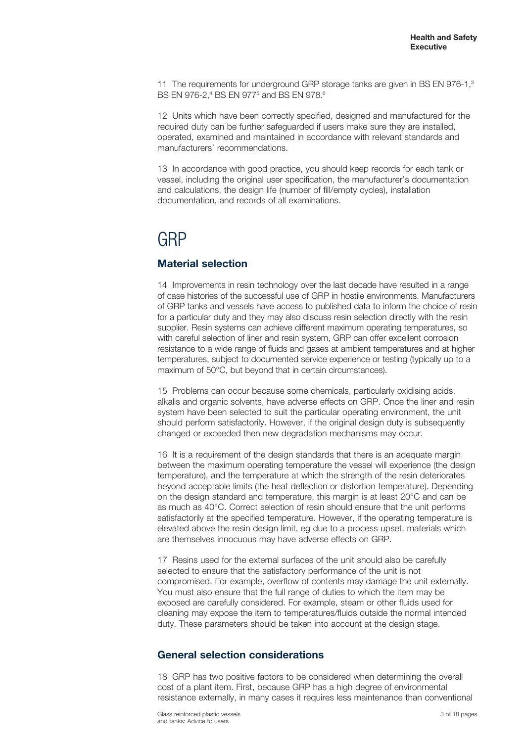11 The requirements for underground GRP storage tanks are given in BS EN 976-1,<sup>3</sup> BS EN 976-2,<sup>4</sup> BS EN 977<sup>5</sup> and BS EN 978.<sup>6</sup>

12 Units which have been correctly specified, designed and manufactured for the required duty can be further safeguarded if users make sure they are installed, operated, examined and maintained in accordance with relevant standards and manufacturers' recommendations.

13 In accordance with good practice, you should keep records for each tank or vessel, including the original user specification, the manufacturer's documentation and calculations, the design life (number of fill/empty cycles), installation documentation, and records of all examinations.

# GRP

### **Material selection**

14 Improvements in resin technology over the last decade have resulted in a range of case histories of the successful use of GRP in hostile environments. Manufacturers of GRP tanks and vessels have access to published data to inform the choice of resin for a particular duty and they may also discuss resin selection directly with the resin supplier. Resin systems can achieve different maximum operating temperatures, so with careful selection of liner and resin system, GRP can offer excellent corrosion resistance to a wide range of fluids and gases at ambient temperatures and at higher temperatures, subject to documented service experience or testing (typically up to a maximum of 50°C, but beyond that in certain circumstances).

15 Problems can occur because some chemicals, particularly oxidising acids, alkalis and organic solvents, have adverse effects on GRP. Once the liner and resin system have been selected to suit the particular operating environment, the unit should perform satisfactorily. However, if the original design duty is subsequently changed or exceeded then new degradation mechanisms may occur.

16 It is a requirement of the design standards that there is an adequate margin between the maximum operating temperature the vessel will experience (the design temperature), and the temperature at which the strength of the resin deteriorates beyond acceptable limits (the heat deflection or distortion temperature). Depending on the design standard and temperature, this margin is at least 20°C and can be as much as 40°C. Correct selection of resin should ensure that the unit performs satisfactorily at the specified temperature. However, if the operating temperature is elevated above the resin design limit, eg due to a process upset, materials which are themselves innocuous may have adverse effects on GRP.

17 Resins used for the external surfaces of the unit should also be carefully selected to ensure that the satisfactory performance of the unit is not compromised. For example, overflow of contents may damage the unit externally. You must also ensure that the full range of duties to which the item may be exposed are carefully considered. For example, steam or other fluids used for cleaning may expose the item to temperatures/fluids outside the normal intended duty. These parameters should be taken into account at the design stage.

### **General selection considerations**

18 GRP has two positive factors to be considered when determining the overall cost of a plant item. First, because GRP has a high degree of environmental resistance externally, in many cases it requires less maintenance than conventional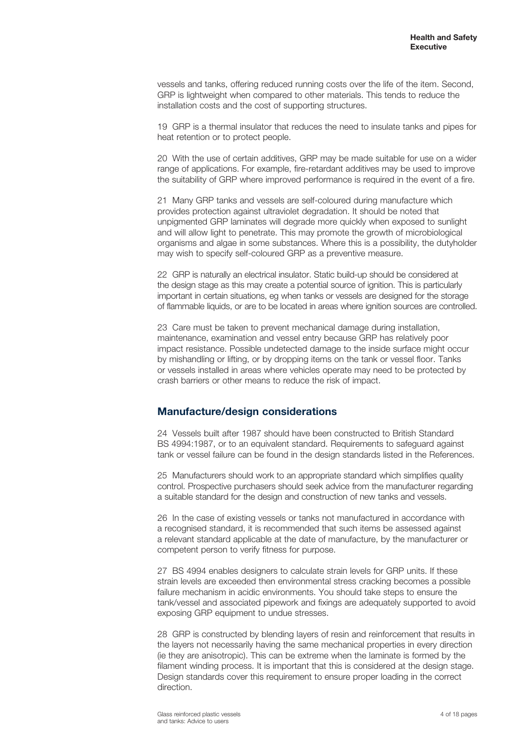vessels and tanks, offering reduced running costs over the life of the item. Second, GRP is lightweight when compared to other materials. This tends to reduce the installation costs and the cost of supporting structures.

19 GRP is a thermal insulator that reduces the need to insulate tanks and pipes for heat retention or to protect people.

20 With the use of certain additives, GRP may be made suitable for use on a wider range of applications. For example, fire-retardant additives may be used to improve the suitability of GRP where improved performance is required in the event of a fire.

21 Many GRP tanks and vessels are self-coloured during manufacture which provides protection against ultraviolet degradation. It should be noted that unpigmented GRP laminates will degrade more quickly when exposed to sunlight and will allow light to penetrate. This may promote the growth of microbiological organisms and algae in some substances. Where this is a possibility, the dutyholder may wish to specify self-coloured GRP as a preventive measure.

22 GRP is naturally an electrical insulator. Static build-up should be considered at the design stage as this may create a potential source of ignition. This is particularly important in certain situations, eg when tanks or vessels are designed for the storage of flammable liquids, or are to be located in areas where ignition sources are controlled.

23 Care must be taken to prevent mechanical damage during installation, maintenance, examination and vessel entry because GRP has relatively poor impact resistance. Possible undetected damage to the inside surface might occur by mishandling or lifting, or by dropping items on the tank or vessel floor. Tanks or vessels installed in areas where vehicles operate may need to be protected by crash barriers or other means to reduce the risk of impact.

### **Manufacture/design considerations**

24 Vessels built after 1987 should have been constructed to British Standard BS 4994:1987, or to an equivalent standard. Requirements to safeguard against tank or vessel failure can be found in the design standards listed in the References.

25 Manufacturers should work to an appropriate standard which simplifies quality control. Prospective purchasers should seek advice from the manufacturer regarding a suitable standard for the design and construction of new tanks and vessels.

26 In the case of existing vessels or tanks not manufactured in accordance with a recognised standard, it is recommended that such items be assessed against a relevant standard applicable at the date of manufacture, by the manufacturer or competent person to verify fitness for purpose.

27 BS 4994 enables designers to calculate strain levels for GRP units. If these strain levels are exceeded then environmental stress cracking becomes a possible failure mechanism in acidic environments. You should take steps to ensure the tank/vessel and associated pipework and fixings are adequately supported to avoid exposing GRP equipment to undue stresses.

28 GRP is constructed by blending layers of resin and reinforcement that results in the layers not necessarily having the same mechanical properties in every direction (ie they are anisotropic). This can be extreme when the laminate is formed by the filament winding process. It is important that this is considered at the design stage. Design standards cover this requirement to ensure proper loading in the correct direction.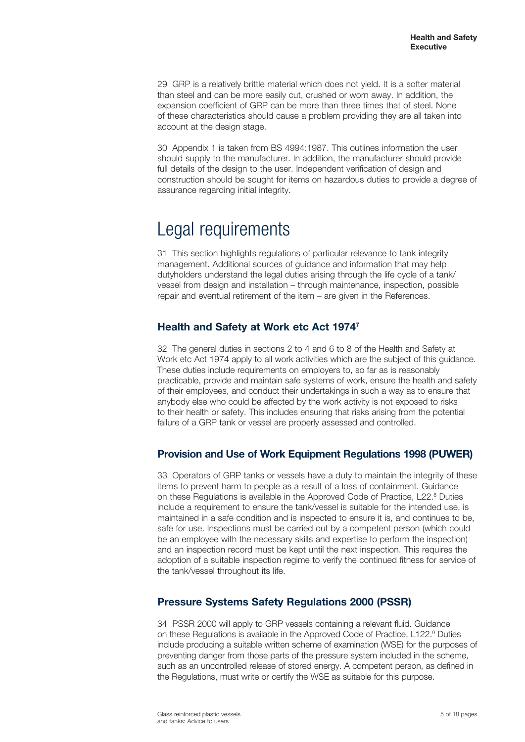29 GRP is a relatively brittle material which does not yield. It is a softer material than steel and can be more easily cut, crushed or worn away. In addition, the expansion coefficient of GRP can be more than three times that of steel. None of these characteristics should cause a problem providing they are all taken into account at the design stage.

30 Appendix 1 is taken from BS 4994:1987. This outlines information the user should supply to the manufacturer. In addition, the manufacturer should provide full details of the design to the user. Independent verification of design and construction should be sought for items on hazardous duties to provide a degree of assurance regarding initial integrity.

# Legal requirements

31 This section highlights regulations of particular relevance to tank integrity management. Additional sources of guidance and information that may help dutyholders understand the legal duties arising through the life cycle of a tank/ vessel from design and installation – through maintenance, inspection, possible repair and eventual retirement of the item – are given in the References.

# **Health and Safety at Work etc Act 19747**

32 The general duties in sections 2 to 4 and 6 to 8 of the Health and Safety at Work etc Act 1974 apply to all work activities which are the subject of this guidance. These duties include requirements on employers to, so far as is reasonably practicable, provide and maintain safe systems of work, ensure the health and safety of their employees, and conduct their undertakings in such a way as to ensure that anybody else who could be affected by the work activity is not exposed to risks to their health or safety. This includes ensuring that risks arising from the potential failure of a GRP tank or vessel are properly assessed and controlled.

### **Provision and Use of Work Equipment Regulations 1998 (PUWER)**

33 Operators of GRP tanks or vessels have a duty to maintain the integrity of these items to prevent harm to people as a result of a loss of containment. Guidance on these Regulations is available in the Approved Code of Practice, L22.<sup>8</sup> Duties include a requirement to ensure the tank/vessel is suitable for the intended use, is maintained in a safe condition and is inspected to ensure it is, and continues to be, safe for use. Inspections must be carried out by a competent person (which could be an employee with the necessary skills and expertise to perform the inspection) and an inspection record must be kept until the next inspection. This requires the adoption of a suitable inspection regime to verify the continued fitness for service of the tank/vessel throughout its life.

# **Pressure Systems Safety Regulations 2000 (PSSR)**

34 PSSR 2000 will apply to GRP vessels containing a relevant fluid. Guidance on these Regulations is available in the Approved Code of Practice, L122.<sup>9</sup> Duties include producing a suitable written scheme of examination (WSE) for the purposes of preventing danger from those parts of the pressure system included in the scheme, such as an uncontrolled release of stored energy. A competent person, as defined in the Regulations, must write or certify the WSE as suitable for this purpose.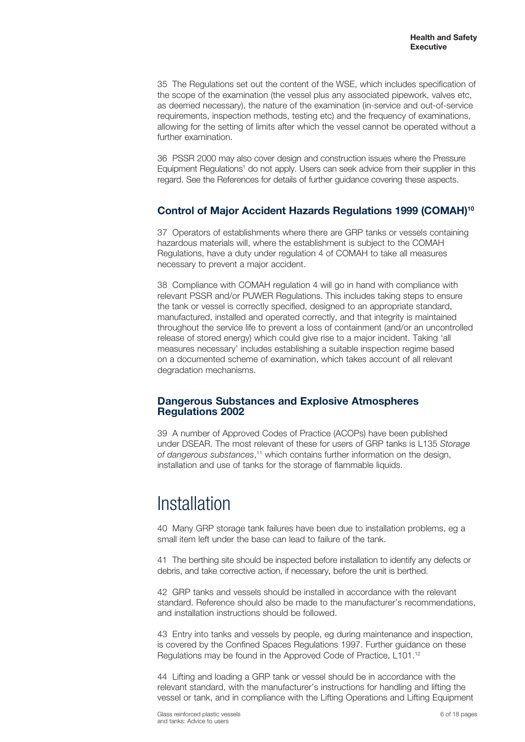35 The Regulations set out the content of the WSE, which includes specification of the scope of the examination (the vessel plus any associated pipework, valves etc, as deemed necessary), the nature of the examination (in-service and out-of-service requirements, inspection methods, testing etc) and the frequency of examinations, allowing for the setting of limits after which the vessel cannot be operated without a further examination.

36 PSSR 2000 may also cover design and construction issues where the Pressure Equipment Regulations<sup>1</sup> do not apply. Users can seek advice from their supplier in this regard. See the References for details of further guidance covering these aspects.

### **Control of Major Accident Hazards Regulations 1999 (COMAH)10**

37 Operators of establishments where there are GRP tanks or vessels containing hazardous materials will, where the establishment is subject to the COMAH Regulations, have a duty under regulation 4 of COMAH to take all measures necessary to prevent a major accident.

38 Compliance with COMAH regulation 4 will go in hand with compliance with relevant PSSR and/or PUWER Regulations. This includes taking steps to ensure the tank or vessel is correctly specified, designed to an appropriate standard, manufactured, installed and operated correctly, and that integrity is maintained throughout the service life to prevent a loss of containment (and/or an uncontrolled release of stored energy) which could give rise to a major incident. Taking 'all measures necessary' includes establishing a suitable inspection regime based on a documented scheme of examination, which takes account of all relevant degradation mechanisms.

### **Dangerous Substances and Explosive Atmospheres Regulations 2002**

39 A number of Approved Codes of Practice (ACOPs) have been published under DSEAR. The most relevant of these for users of GRP tanks is L135 *Storage of dangerous substances*, 11 which contains further information on the design, installation and use of tanks for the storage of flammable liquids.

# Installation

40 Many GRP storage tank failures have been due to installation problems, eg a small item left under the base can lead to failure of the tank.

41 The berthing site should be inspected before installation to identify any defects or debris, and take corrective action, if necessary, before the unit is berthed.

42 GRP tanks and vessels should be installed in accordance with the relevant standard. Reference should also be made to the manufacturer's recommendations, and installation instructions should be followed.

43 Entry into tanks and vessels by people, eg during maintenance and inspection, is covered by the Confined Spaces Regulations 1997. Further guidance on these Regulations may be found in the Approved Code of Practice, L101.12

44 Lifting and loading a GRP tank or vessel should be in accordance with the relevant standard, with the manufacturer's instructions for handling and lifting the vessel or tank, and in compliance with the Lifting Operations and Lifting Equipment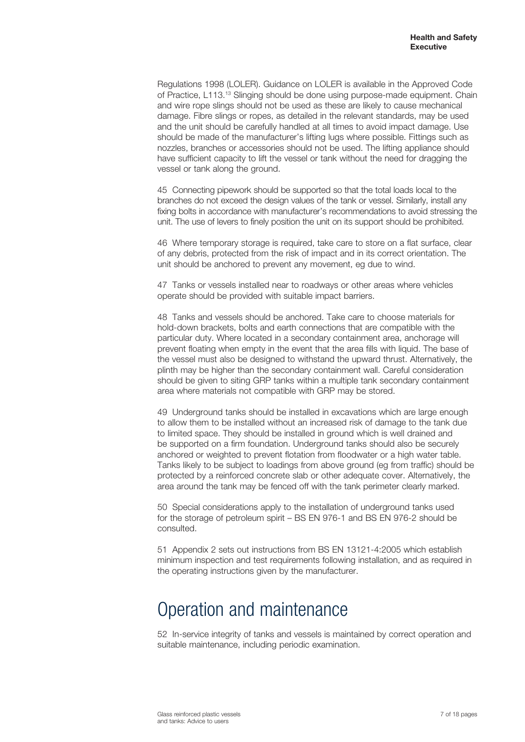Regulations 1998 (LOLER). Guidance on LOLER is available in the Approved Code of Practice, L113.13 Slinging should be done using purpose-made equipment. Chain and wire rope slings should not be used as these are likely to cause mechanical damage. Fibre slings or ropes, as detailed in the relevant standards, may be used and the unit should be carefully handled at all times to avoid impact damage. Use should be made of the manufacturer's lifting lugs where possible. Fittings such as nozzles, branches or accessories should not be used. The lifting appliance should have sufficient capacity to lift the vessel or tank without the need for dragging the vessel or tank along the ground.

45 Connecting pipework should be supported so that the total loads local to the branches do not exceed the design values of the tank or vessel. Similarly, install any fixing bolts in accordance with manufacturer's recommendations to avoid stressing the unit. The use of levers to finely position the unit on its support should be prohibited.

46 Where temporary storage is required, take care to store on a flat surface, clear of any debris, protected from the risk of impact and in its correct orientation. The unit should be anchored to prevent any movement, eg due to wind.

47 Tanks or vessels installed near to roadways or other areas where vehicles operate should be provided with suitable impact barriers.

48 Tanks and vessels should be anchored. Take care to choose materials for hold-down brackets, bolts and earth connections that are compatible with the particular duty. Where located in a secondary containment area, anchorage will prevent floating when empty in the event that the area fills with liquid. The base of the vessel must also be designed to withstand the upward thrust. Alternatively, the plinth may be higher than the secondary containment wall. Careful consideration should be given to siting GRP tanks within a multiple tank secondary containment area where materials not compatible with GRP may be stored.

49 Underground tanks should be installed in excavations which are large enough to allow them to be installed without an increased risk of damage to the tank due to limited space. They should be installed in ground which is well drained and be supported on a firm foundation. Underground tanks should also be securely anchored or weighted to prevent flotation from floodwater or a high water table. Tanks likely to be subject to loadings from above ground (eg from traffic) should be protected by a reinforced concrete slab or other adequate cover. Alternatively, the area around the tank may be fenced off with the tank perimeter clearly marked.

50 Special considerations apply to the installation of underground tanks used for the storage of petroleum spirit – BS EN 976-1 and BS EN 976-2 should be consulted.

51 Appendix 2 sets out instructions from BS EN 13121-4:2005 which establish minimum inspection and test requirements following installation, and as required in the operating instructions given by the manufacturer.

# Operation and maintenance

52 In-service integrity of tanks and vessels is maintained by correct operation and suitable maintenance, including periodic examination.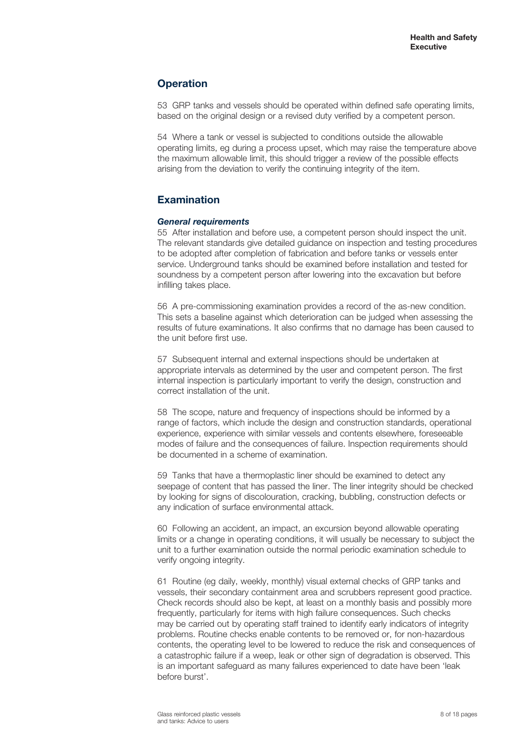### **Operation**

53 GRP tanks and vessels should be operated within defined safe operating limits, based on the original design or a revised duty verified by a competent person.

54 Where a tank or vessel is subjected to conditions outside the allowable operating limits, eg during a process upset, which may raise the temperature above the maximum allowable limit, this should trigger a review of the possible effects arising from the deviation to verify the continuing integrity of the item.

### **Examination**

#### *General requirements*

55 After installation and before use, a competent person should inspect the unit. The relevant standards give detailed guidance on inspection and testing procedures to be adopted after completion of fabrication and before tanks or vessels enter service. Underground tanks should be examined before installation and tested for soundness by a competent person after lowering into the excavation but before infilling takes place.

56 A pre-commissioning examination provides a record of the as-new condition. This sets a baseline against which deterioration can be judged when assessing the results of future examinations. It also confirms that no damage has been caused to the unit before first use.

57 Subsequent internal and external inspections should be undertaken at appropriate intervals as determined by the user and competent person. The first internal inspection is particularly important to verify the design, construction and correct installation of the unit.

58 The scope, nature and frequency of inspections should be informed by a range of factors, which include the design and construction standards, operational experience, experience with similar vessels and contents elsewhere, foreseeable modes of failure and the consequences of failure. Inspection requirements should be documented in a scheme of examination.

59 Tanks that have a thermoplastic liner should be examined to detect any seepage of content that has passed the liner. The liner integrity should be checked by looking for signs of discolouration, cracking, bubbling, construction defects or any indication of surface environmental attack.

60 Following an accident, an impact, an excursion beyond allowable operating limits or a change in operating conditions, it will usually be necessary to subject the unit to a further examination outside the normal periodic examination schedule to verify ongoing integrity.

61 Routine (eg daily, weekly, monthly) visual external checks of GRP tanks and vessels, their secondary containment area and scrubbers represent good practice. Check records should also be kept, at least on a monthly basis and possibly more frequently, particularly for items with high failure consequences. Such checks may be carried out by operating staff trained to identify early indicators of integrity problems. Routine checks enable contents to be removed or, for non-hazardous contents, the operating level to be lowered to reduce the risk and consequences of a catastrophic failure if a weep, leak or other sign of degradation is observed. This is an important safeguard as many failures experienced to date have been 'leak before burst'.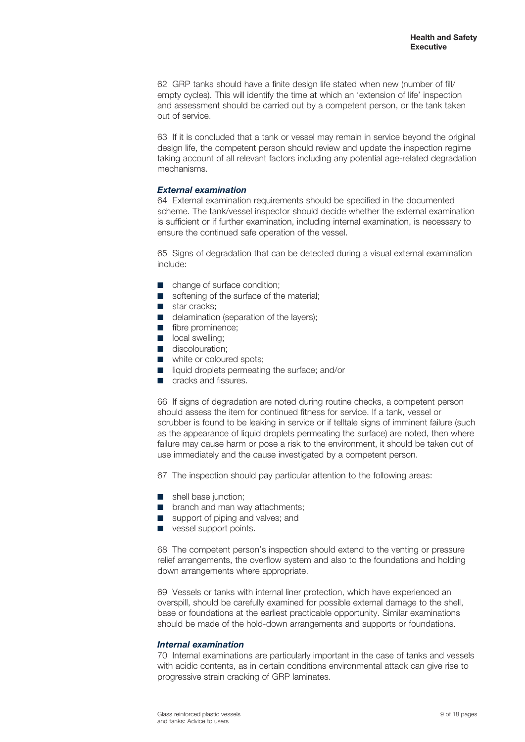62 GRP tanks should have a finite design life stated when new (number of fill/ empty cycles). This will identify the time at which an 'extension of life' inspection and assessment should be carried out by a competent person, or the tank taken out of service.

63 If it is concluded that a tank or vessel may remain in service beyond the original design life, the competent person should review and update the inspection regime taking account of all relevant factors including any potential age-related degradation mechanisms.

#### *External examination*

64 External examination requirements should be specified in the documented scheme. The tank/vessel inspector should decide whether the external examination is sufficient or if further examination, including internal examination, is necessary to ensure the continued safe operation of the vessel.

65 Signs of degradation that can be detected during a visual external examination include:

- change of surface condition:
- softening of the surface of the material:
- star cracks:
- delamination (separation of the layers):
- fibre prominence:
- local swelling;
- discolouration;
- white or coloured spots;
- liquid droplets permeating the surface; and/or
- cracks and fissures.

66 If signs of degradation are noted during routine checks, a competent person should assess the item for continued fitness for service. If a tank, vessel or scrubber is found to be leaking in service or if telltale signs of imminent failure (such as the appearance of liquid droplets permeating the surface) are noted, then where failure may cause harm or pose a risk to the environment, it should be taken out of use immediately and the cause investigated by a competent person.

67 The inspection should pay particular attention to the following areas:

- shell base junction;
- branch and man way attachments;
- support of piping and valves; and
- vessel support points.

68 The competent person's inspection should extend to the venting or pressure relief arrangements, the overflow system and also to the foundations and holding down arrangements where appropriate.

69 Vessels or tanks with internal liner protection, which have experienced an overspill, should be carefully examined for possible external damage to the shell, base or foundations at the earliest practicable opportunity. Similar examinations should be made of the hold-down arrangements and supports or foundations.

#### *Internal examination*

70 Internal examinations are particularly important in the case of tanks and vessels with acidic contents, as in certain conditions environmental attack can give rise to progressive strain cracking of GRP laminates.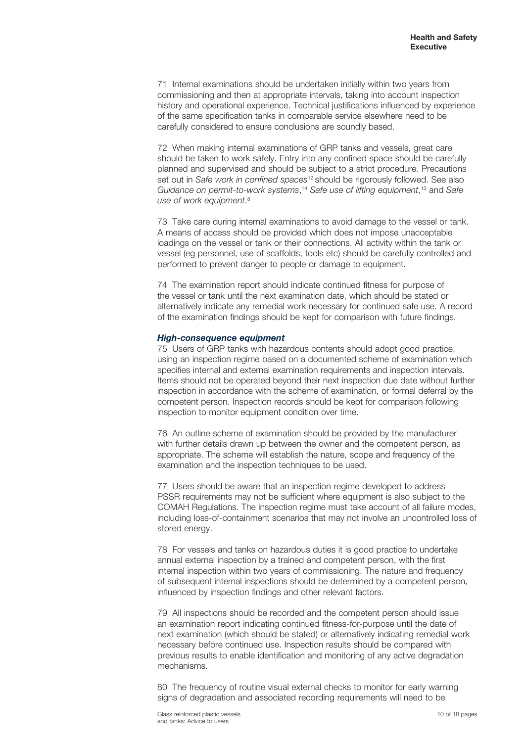71 Internal examinations should be undertaken initially within two years from commissioning and then at appropriate intervals, taking into account inspection history and operational experience. Technical justifications influenced by experience of the same specification tanks in comparable service elsewhere need to be carefully considered to ensure conclusions are soundly based.

72 When making internal examinations of GRP tanks and vessels, great care should be taken to work safely. Entry into any confined space should be carefully planned and supervised and should be subject to a strict procedure. Precautions set out in *Safe work in confined spaces*12 should be rigorously followed. See also *Guidance on permit-to-work systems*, <sup>14</sup> *Safe use of lifting equipment*, 13 and *Safe use of work equipment*. 8

73 Take care during internal examinations to avoid damage to the vessel or tank. A means of access should be provided which does not impose unacceptable loadings on the vessel or tank or their connections. All activity within the tank or vessel (eg personnel, use of scaffolds, tools etc) should be carefully controlled and performed to prevent danger to people or damage to equipment.

74 The examination report should indicate continued fitness for purpose of the vessel or tank until the next examination date, which should be stated or alternatively indicate any remedial work necessary for continued safe use. A record of the examination findings should be kept for comparison with future findings.

#### *High-consequence equipment*

75 Users of GRP tanks with hazardous contents should adopt good practice, using an inspection regime based on a documented scheme of examination which specifies internal and external examination requirements and inspection intervals. Items should not be operated beyond their next inspection due date without further inspection in accordance with the scheme of examination, or formal deferral by the competent person. Inspection records should be kept for comparison following inspection to monitor equipment condition over time.

76 An outline scheme of examination should be provided by the manufacturer with further details drawn up between the owner and the competent person, as appropriate. The scheme will establish the nature, scope and frequency of the examination and the inspection techniques to be used.

77 Users should be aware that an inspection regime developed to address PSSR requirements may not be sufficient where equipment is also subject to the COMAH Regulations. The inspection regime must take account of all failure modes, including loss-of-containment scenarios that may not involve an uncontrolled loss of stored energy.

78 For vessels and tanks on hazardous duties it is good practice to undertake annual external inspection by a trained and competent person, with the first internal inspection within two years of commissioning. The nature and frequency of subsequent internal inspections should be determined by a competent person, influenced by inspection findings and other relevant factors.

79 All inspections should be recorded and the competent person should issue an examination report indicating continued fitness-for-purpose until the date of next examination (which should be stated) or alternatively indicating remedial work necessary before continued use. Inspection results should be compared with previous results to enable identification and monitoring of any active degradation mechanisms.

80 The frequency of routine visual external checks to monitor for early warning signs of degradation and associated recording requirements will need to be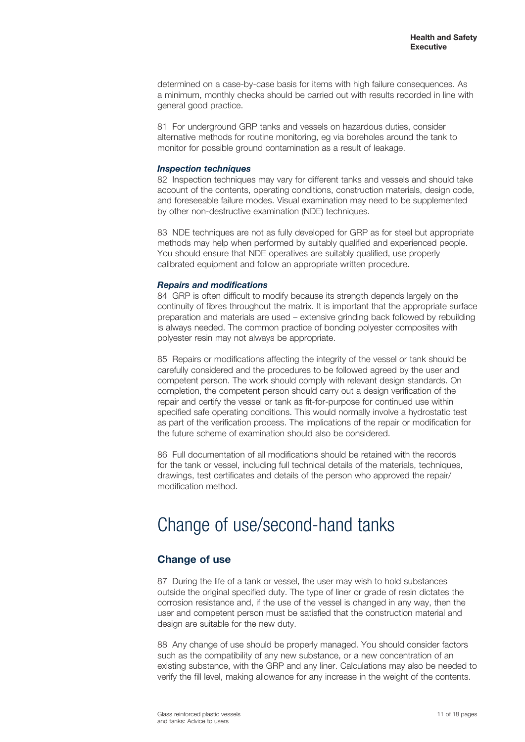determined on a case-by-case basis for items with high failure consequences. As a minimum, monthly checks should be carried out with results recorded in line with general good practice.

81 For underground GRP tanks and vessels on hazardous duties, consider alternative methods for routine monitoring, eg via boreholes around the tank to monitor for possible ground contamination as a result of leakage.

#### *Inspection techniques*

82 Inspection techniques may vary for different tanks and vessels and should take account of the contents, operating conditions, construction materials, design code, and foreseeable failure modes. Visual examination may need to be supplemented by other non-destructive examination (NDE) techniques.

83 NDE techniques are not as fully developed for GRP as for steel but appropriate methods may help when performed by suitably qualified and experienced people. You should ensure that NDE operatives are suitably qualified, use properly calibrated equipment and follow an appropriate written procedure.

#### *Repairs and modifications*

84 GRP is often difficult to modify because its strength depends largely on the continuity of fibres throughout the matrix. It is important that the appropriate surface preparation and materials are used – extensive grinding back followed by rebuilding is always needed. The common practice of bonding polyester composites with polyester resin may not always be appropriate.

85 Repairs or modifications affecting the integrity of the vessel or tank should be carefully considered and the procedures to be followed agreed by the user and competent person. The work should comply with relevant design standards. On completion, the competent person should carry out a design verification of the repair and certify the vessel or tank as fit-for-purpose for continued use within specified safe operating conditions. This would normally involve a hydrostatic test as part of the verification process. The implications of the repair or modification for the future scheme of examination should also be considered.

86 Full documentation of all modifications should be retained with the records for the tank or vessel, including full technical details of the materials, techniques, drawings, test certificates and details of the person who approved the repair/ modification method.

# Change of use/second-hand tanks

### **Change of use**

87 During the life of a tank or vessel, the user may wish to hold substances outside the original specified duty. The type of liner or grade of resin dictates the corrosion resistance and, if the use of the vessel is changed in any way, then the user and competent person must be satisfied that the construction material and design are suitable for the new duty.

88 Any change of use should be properly managed. You should consider factors such as the compatibility of any new substance, or a new concentration of an existing substance, with the GRP and any liner. Calculations may also be needed to verify the fill level, making allowance for any increase in the weight of the contents.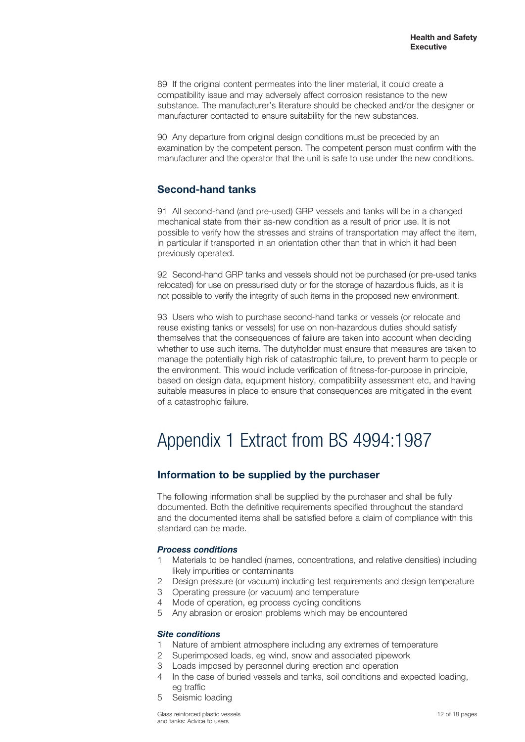89 If the original content permeates into the liner material, it could create a compatibility issue and may adversely affect corrosion resistance to the new substance. The manufacturer's literature should be checked and/or the designer or manufacturer contacted to ensure suitability for the new substances.

90 Any departure from original design conditions must be preceded by an examination by the competent person. The competent person must confirm with the manufacturer and the operator that the unit is safe to use under the new conditions.

### **Second-hand tanks**

91 All second-hand (and pre-used) GRP vessels and tanks will be in a changed mechanical state from their as-new condition as a result of prior use. It is not possible to verify how the stresses and strains of transportation may affect the item, in particular if transported in an orientation other than that in which it had been previously operated.

92 Second-hand GRP tanks and vessels should not be purchased (or pre-used tanks relocated) for use on pressurised duty or for the storage of hazardous fluids, as it is not possible to verify the integrity of such items in the proposed new environment.

93 Users who wish to purchase second-hand tanks or vessels (or relocate and reuse existing tanks or vessels) for use on non-hazardous duties should satisfy themselves that the consequences of failure are taken into account when deciding whether to use such items. The dutyholder must ensure that measures are taken to manage the potentially high risk of catastrophic failure, to prevent harm to people or the environment. This would include verification of fitness-for-purpose in principle, based on design data, equipment history, compatibility assessment etc, and having suitable measures in place to ensure that consequences are mitigated in the event of a catastrophic failure.

# Appendix 1 Extract from BS 4994:1987

### **Information to be supplied by the purchaser**

The following information shall be supplied by the purchaser and shall be fully documented. Both the definitive requirements specified throughout the standard and the documented items shall be satisfied before a claim of compliance with this standard can be made.

#### *Process conditions*

- 1 Materials to be handled (names, concentrations, and relative densities) including likely impurities or contaminants
- 2 Design pressure (or vacuum) including test requirements and design temperature
- 3 Operating pressure (or vacuum) and temperature
- 4 Mode of operation, eg process cycling conditions
- 5 Any abrasion or erosion problems which may be encountered

#### *Site conditions*

- 1 Nature of ambient atmosphere including any extremes of temperature
- 2 Superimposed loads, eg wind, snow and associated pipework
- 3 Loads imposed by personnel during erection and operation
- 4 In the case of buried vessels and tanks, soil conditions and expected loading, eg traffic
- 5 Seismic loading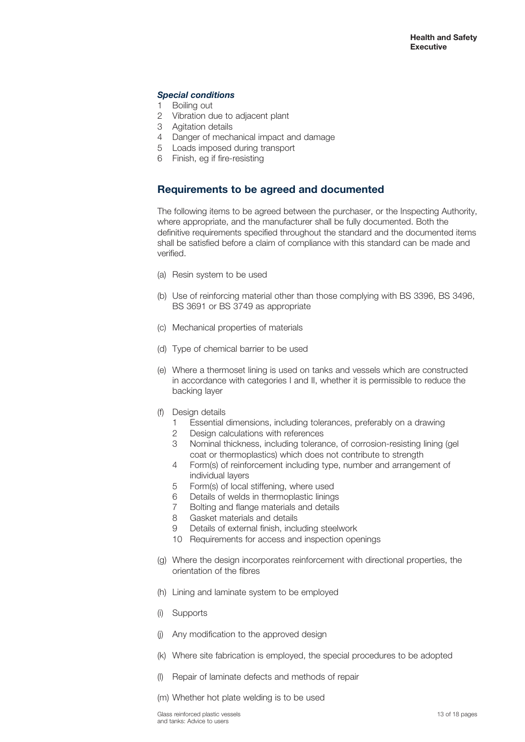#### *Special conditions*

- 1 Boiling out
- 2 Vibration due to adjacent plant
- 3 Agitation details
- 4 Danger of mechanical impact and damage
- 5 Loads imposed during transport
- 6 Finish, eg if fire-resisting

### **Requirements to be agreed and documented**

The following items to be agreed between the purchaser, or the Inspecting Authority, where appropriate, and the manufacturer shall be fully documented. Both the definitive requirements specified throughout the standard and the documented items shall be satisfied before a claim of compliance with this standard can be made and verified.

- (a) Resin system to be used
- (b) Use of reinforcing material other than those complying with BS 3396, BS 3496, BS 3691 or BS 3749 as appropriate
- (c) Mechanical properties of materials
- (d) Type of chemical barrier to be used
- (e) Where a thermoset lining is used on tanks and vessels which are constructed in accordance with categories I and II, whether it is permissible to reduce the backing layer
- (f) Design details
	- 1 Essential dimensions, including tolerances, preferably on a drawing
	- 2 Design calculations with references
	- 3 Nominal thickness, including tolerance, of corrosion-resisting lining (gel coat or thermoplastics) which does not contribute to strength
	- 4 Form(s) of reinforcement including type, number and arrangement of individual layers
	- 5 Form(s) of local stiffening, where used
	- 6 Details of welds in thermoplastic linings
	- 7 Bolting and flange materials and details
	- 8 Gasket materials and details
	- 9 Details of external finish, including steelwork
	- 10 Requirements for access and inspection openings
- (g) Where the design incorporates reinforcement with directional properties, the orientation of the fibres
- (h) Lining and laminate system to be employed
- (i) Supports
- (j) Any modification to the approved design
- (k) Where site fabrication is employed, the special procedures to be adopted
- (l) Repair of laminate defects and methods of repair
- (m) Whether hot plate welding is to be used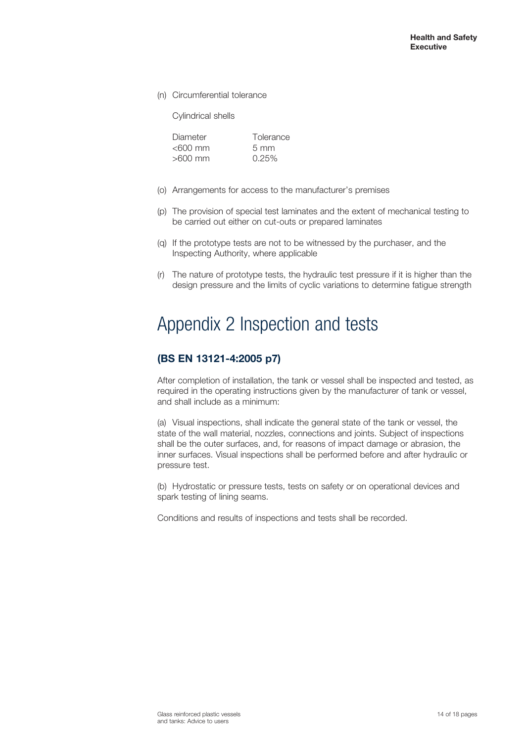(n) Circumferential tolerance

Cylindrical shells

| Diameter   | Tolerance      |
|------------|----------------|
| $<$ 600 mm | $5 \text{ mm}$ |
| $>600$ mm  | 0.25%          |

- (o) Arrangements for access to the manufacturer's premises
- (p) The provision of special test laminates and the extent of mechanical testing to be carried out either on cut-outs or prepared laminates
- (q) If the prototype tests are not to be witnessed by the purchaser, and the Inspecting Authority, where applicable
- (r) The nature of prototype tests, the hydraulic test pressure if it is higher than the design pressure and the limits of cyclic variations to determine fatigue strength

# Appendix 2 Inspection and tests

### **(BS EN 13121-4:2005 p7)**

After completion of installation, the tank or vessel shall be inspected and tested, as required in the operating instructions given by the manufacturer of tank or vessel, and shall include as a minimum:

(a) Visual inspections, shall indicate the general state of the tank or vessel, the state of the wall material, nozzles, connections and joints. Subject of inspections shall be the outer surfaces, and, for reasons of impact damage or abrasion, the inner surfaces. Visual inspections shall be performed before and after hydraulic or pressure test.

(b) Hydrostatic or pressure tests, tests on safety or on operational devices and spark testing of lining seams.

Conditions and results of inspections and tests shall be recorded.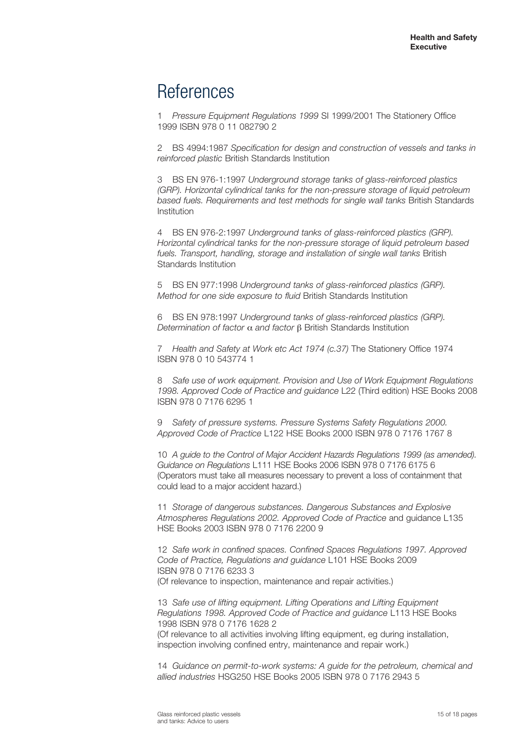# **References**

1 *Pressure Equipment Regulations 1999* SI 1999/2001 The Stationery Office 1999 ISBN 978 0 11 082790 2

2 BS 4994:1987 *Specification for design and construction of vessels and tanks in reinforced plastic* British Standards Institution

3 BS EN 976-1:1997 *Underground storage tanks of glass-reinforced plastics (GRP). Horizontal cylindrical tanks for the non-pressure storage of liquid petroleum based fuels. Requirements and test methods for single wall tanks* British Standards Institution

4 BS EN 976-2:1997 *Underground tanks of glass-reinforced plastics (GRP). Horizontal cylindrical tanks for the non-pressure storage of liquid petroleum based fuels. Transport, handling, storage and installation of single wall tanks* British Standards Institution

5 BS EN 977:1998 *Underground tanks of glass-reinforced plastics (GRP). Method for one side exposure to fluid* British Standards Institution

6 BS EN 978:1997 *Underground tanks of glass-reinforced plastics (GRP). Determination of factor* a *and factor* b British Standards Institution

7 *Health and Safety at Work etc Act 1974 (c.37)* The Stationery Office 1974 ISBN 978 0 10 543774 1

8 *Safe use of work equipment. Provision and Use of Work Equipment Regulations 1998. Approved Code of Practice and guidance* L22 (Third edition) HSE Books 2008 ISBN 978 0 7176 6295 1

9 *Safety of pressure systems. Pressure Systems Safety Regulations 2000. Approved Code of Practice* L122 HSE Books 2000 ISBN 978 0 7176 1767 8

10 *A guide to the Control of Major Accident Hazards Regulations 1999 (as amended). Guidance on Regulations* L111 HSE Books 2006 ISBN 978 0 7176 6175 6 (Operators must take all measures necessary to prevent a loss of containment that could lead to a major accident hazard.)

11 *Storage of dangerous substances. Dangerous Substances and Explosive Atmospheres Regulations 2002. Approved Code of Practice* and guidance L135 HSE Books 2003 ISBN 978 0 7176 2200 9

12 *Safe work in confined spaces. Confined Spaces Regulations 1997. Approved Code of Practice, Regulations and guidance* L101 HSE Books 2009 ISBN 978 0 7176 6233 3 (Of relevance to inspection, maintenance and repair activities.)

13 *Safe use of lifting equipment. Lifting Operations and Lifting Equipment Regulations 1998. Approved Code of Practice and guidance* L113 HSE Books 1998 ISBN 978 0 7176 1628 2

(Of relevance to all activities involving lifting equipment, eg during installation, inspection involving confined entry, maintenance and repair work.)

14 *Guidance on permit-to-work systems: A guide for the petroleum, chemical and allied industries* HSG250 HSE Books 2005 ISBN 978 0 7176 2943 5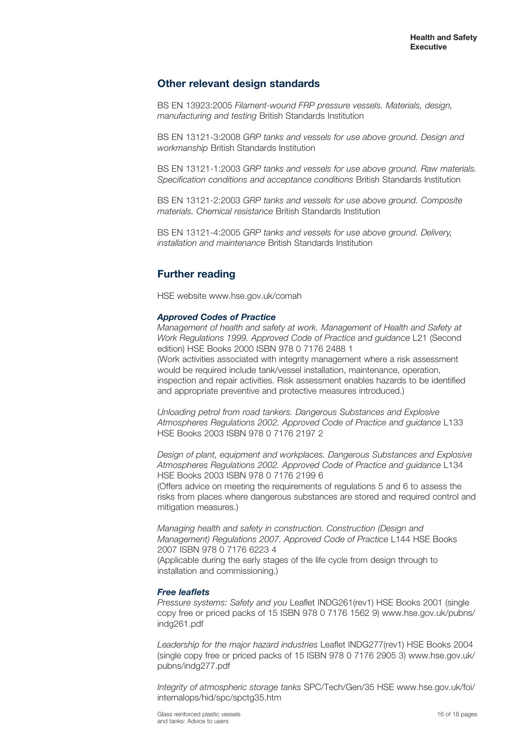### **Other relevant design standards**

BS EN 13923:2005 *Filament-wound FRP pressure vessels. Materials, design, manufacturing and testing* British Standards Institution

BS EN 13121-3:2008 *GRP tanks and vessels for use above ground. Design and workmanship* British Standards Institution

BS EN 13121-1:2003 *GRP tanks and vessels for use above ground. Raw materials. Specification conditions and acceptance conditions* British Standards Institution

BS EN 13121-2:2003 *GRP tanks and vessels for use above ground. Composite materials. Chemical resistance* British Standards Institution

BS EN 13121-4:2005 *GRP tanks and vessels for use above ground. Delivery, installation and maintenance* British Standards Institution

### **Further reading**

HSE website www.hse.gov.uk/comah

#### *Approved Codes of Practice*

*Management of health and safety at work. Management of Health and Safety at Work Regulations 1999. Approved Code of Practice and guidance* L21 (Second edition) HSE Books 2000 ISBN 978 0 7176 2488 1 (Work activities associated with integrity management where a risk assessment would be required include tank/vessel installation, maintenance, operation, inspection and repair activities. Risk assessment enables hazards to be identified and appropriate preventive and protective measures introduced.)

*Unloading petrol from road tankers. Dangerous Substances and Explosive Atmospheres Regulations 2002. Approved Code of Practice and guidance* L133 HSE Books 2003 ISBN 978 0 7176 2197 2

*Design of plant, equipment and workplaces. Dangerous Substances and Explosive Atmospheres Regulations 2002. Approved Code of Practice and guidance* L134 HSE Books 2003 ISBN 978 0 7176 2199 6

(Offers advice on meeting the requirements of regulations 5 and 6 to assess the risks from places where dangerous substances are stored and required control and mitigation measures.)

*Managing health and safety in construction. Construction (Design and Management) Regulations 2007. Approved Code of Practice* L144 HSE Books 2007 ISBN 978 0 7176 6223 4 (Applicable during the early stages of the life cycle from design through to installation and commissioning.)

#### *Free leaflets*

*Pressure systems: Safety and you* Leaflet INDG261(rev1) HSE Books 2001 (single copy free or priced packs of 15 ISBN 978 0 7176 1562 9) www.hse.gov.uk/pubns/ indg261.pdf

*Leadership for the major hazard industries* Leaflet INDG277(rev1) HSE Books 2004 (single copy free or priced packs of 15 ISBN 978 0 7176 2905 3) www.hse.gov.uk/ pubns/indg277.pdf

*Integrity of atmospheric storage tanks* SPC/Tech/Gen/35 HSE www.hse.gov.uk/foi/ internalops/hid/spc/spctg35.htm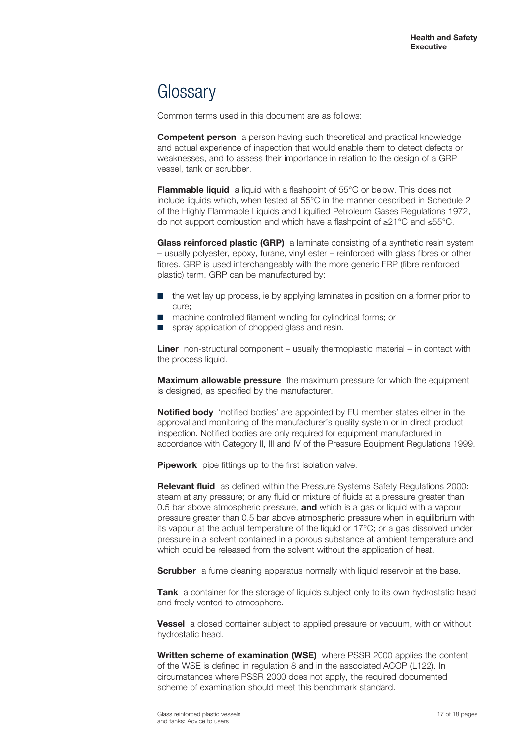# **Glossary**

Common terms used in this document are as follows:

**Competent person** a person having such theoretical and practical knowledge and actual experience of inspection that would enable them to detect defects or weaknesses, and to assess their importance in relation to the design of a GRP vessel, tank or scrubber.

**Flammable liquid** a liquid with a flashpoint of 55°C or below. This does not include liquids which, when tested at 55°C in the manner described in Schedule 2 of the Highly Flammable Liquids and Liquified Petroleum Gases Regulations 1972, do not support combustion and which have a flashpoint of ≥21°C and ≤55°C.

**Glass reinforced plastic (GRP)** a laminate consisting of a synthetic resin system – usually polyester, epoxy, furane, vinyl ester – reinforced with glass fibres or other fibres. GRP is used interchangeably with the more generic FRP (fibre reinforced plastic) term. GRP can be manufactured by:

- the wet lay up process, ie by applying laminates in position on a former prior to cure;
- machine controlled filament winding for cylindrical forms; or
- spray application of chopped glass and resin.

**Liner** non-structural component – usually thermoplastic material – in contact with the process liquid.

**Maximum allowable pressure** the maximum pressure for which the equipment is designed, as specified by the manufacturer.

**Notified body** 'notified bodies' are appointed by EU member states either in the approval and monitoring of the manufacturer's quality system or in direct product inspection. Notified bodies are only required for equipment manufactured in accordance with Category II, III and IV of the Pressure Equipment Regulations 1999.

**Pipework** pipe fittings up to the first isolation valve.

**Relevant fluid** as defined within the Pressure Systems Safety Regulations 2000: steam at any pressure; or any fluid or mixture of fluids at a pressure greater than 0.5 bar above atmospheric pressure, **and** which is a gas or liquid with a vapour pressure greater than 0.5 bar above atmospheric pressure when in equilibrium with its vapour at the actual temperature of the liquid or 17°C; or a gas dissolved under pressure in a solvent contained in a porous substance at ambient temperature and which could be released from the solvent without the application of heat.

**Scrubber** a fume cleaning apparatus normally with liquid reservoir at the base.

Tank a container for the storage of liquids subject only to its own hydrostatic head and freely vented to atmosphere.

**Vessel** a closed container subject to applied pressure or vacuum, with or without hydrostatic head.

**Written scheme of examination (WSE)** where PSSR 2000 applies the content of the WSE is defined in regulation 8 and in the associated ACOP (L122). In circumstances where PSSR 2000 does not apply, the required documented scheme of examination should meet this benchmark standard.